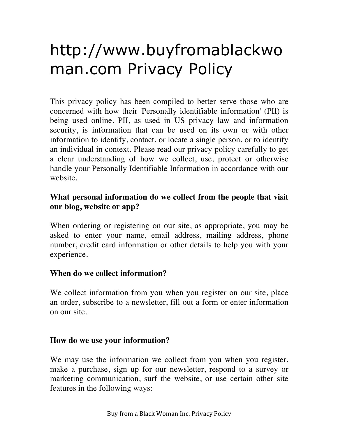# http://www.buyfromablackwo man.com Privacy Policy

This privacy policy has been compiled to better serve those who are concerned with how their 'Personally identifiable information' (PII) is being used online. PII, as used in US privacy law and information security, is information that can be used on its own or with other information to identify, contact, or locate a single person, or to identify an individual in context. Please read our privacy policy carefully to get a clear understanding of how we collect, use, protect or otherwise handle your Personally Identifiable Information in accordance with our website.

## **What personal information do we collect from the people that visit our blog, website or app?**

When ordering or registering on our site, as appropriate, you may be asked to enter your name, email address, mailing address, phone number, credit card information or other details to help you with your experience.

## **When do we collect information?**

We collect information from you when you register on our site, place an order, subscribe to a newsletter, fill out a form or enter information on our site.

#### **How do we use your information?**

We may use the information we collect from you when you register, make a purchase, sign up for our newsletter, respond to a survey or marketing communication, surf the website, or use certain other site features in the following ways: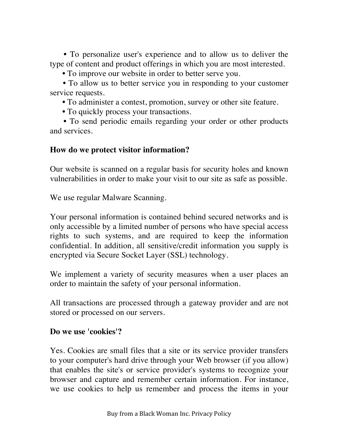**•** To personalize user's experience and to allow us to deliver the type of content and product offerings in which you are most interested.

**•** To improve our website in order to better serve you.

**•** To allow us to better service you in responding to your customer service requests.

**•** To administer a contest, promotion, survey or other site feature.

**•** To quickly process your transactions.

**•** To send periodic emails regarding your order or other products and services.

#### **How do we protect visitor information?**

Our website is scanned on a regular basis for security holes and known vulnerabilities in order to make your visit to our site as safe as possible.

We use regular Malware Scanning.

Your personal information is contained behind secured networks and is only accessible by a limited number of persons who have special access rights to such systems, and are required to keep the information confidential. In addition, all sensitive/credit information you supply is encrypted via Secure Socket Layer (SSL) technology.

We implement a variety of security measures when a user places an order to maintain the safety of your personal information.

All transactions are processed through a gateway provider and are not stored or processed on our servers.

#### **Do we use 'cookies'?**

Yes. Cookies are small files that a site or its service provider transfers to your computer's hard drive through your Web browser (if you allow) that enables the site's or service provider's systems to recognize your browser and capture and remember certain information. For instance, we use cookies to help us remember and process the items in your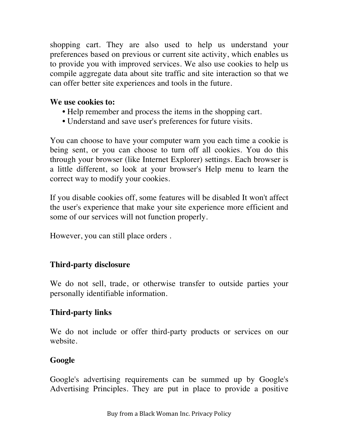shopping cart. They are also used to help us understand your preferences based on previous or current site activity, which enables us to provide you with improved services. We also use cookies to help us compile aggregate data about site traffic and site interaction so that we can offer better site experiences and tools in the future.

#### **We use cookies to:**

- **•** Help remember and process the items in the shopping cart.
- **•** Understand and save user's preferences for future visits.

You can choose to have your computer warn you each time a cookie is being sent, or you can choose to turn off all cookies. You do this through your browser (like Internet Explorer) settings. Each browser is a little different, so look at your browser's Help menu to learn the correct way to modify your cookies.

If you disable cookies off, some features will be disabled It won't affect the user's experience that make your site experience more efficient and some of our services will not function properly.

However, you can still place orders .

# **Third-party disclosure**

We do not sell, trade, or otherwise transfer to outside parties your personally identifiable information.

# **Third-party links**

We do not include or offer third-party products or services on our website.

# **Google**

Google's advertising requirements can be summed up by Google's Advertising Principles. They are put in place to provide a positive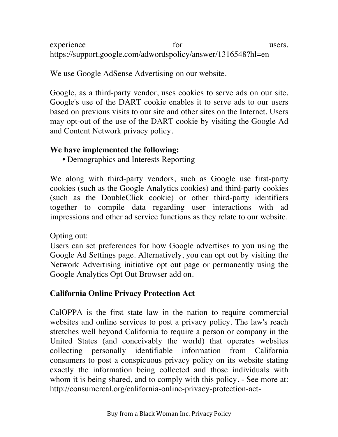experience for the users. https://support.google.com/adwordspolicy/answer/1316548?hl=en

We use Google AdSense Advertising on our website.

Google, as a third-party vendor, uses cookies to serve ads on our site. Google's use of the DART cookie enables it to serve ads to our users based on previous visits to our site and other sites on the Internet. Users may opt-out of the use of the DART cookie by visiting the Google Ad and Content Network privacy policy.

## **We have implemented the following:**

**•** Demographics and Interests Reporting

We along with third-party vendors, such as Google use first-party cookies (such as the Google Analytics cookies) and third-party cookies (such as the DoubleClick cookie) or other third-party identifiers together to compile data regarding user interactions with ad impressions and other ad service functions as they relate to our website.

Opting out:

Users can set preferences for how Google advertises to you using the Google Ad Settings page. Alternatively, you can opt out by visiting the Network Advertising initiative opt out page or permanently using the Google Analytics Opt Out Browser add on.

# **California Online Privacy Protection Act**

CalOPPA is the first state law in the nation to require commercial websites and online services to post a privacy policy. The law's reach stretches well beyond California to require a person or company in the United States (and conceivably the world) that operates websites collecting personally identifiable information from California consumers to post a conspicuous privacy policy on its website stating exactly the information being collected and those individuals with whom it is being shared, and to comply with this policy. - See more at: http://consumercal.org/california-online-privacy-protection-act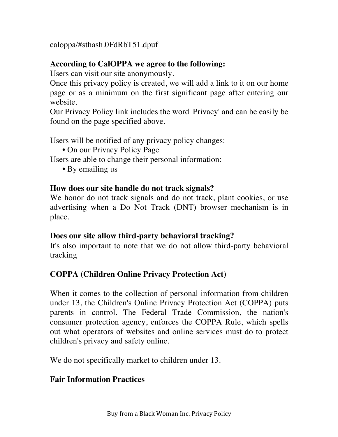caloppa/#sthash.0FdRbT51.dpuf

## **According to CalOPPA we agree to the following:**

Users can visit our site anonymously.

Once this privacy policy is created, we will add a link to it on our home page or as a minimum on the first significant page after entering our website.

Our Privacy Policy link includes the word 'Privacy' and can be easily be found on the page specified above.

Users will be notified of any privacy policy changes:

**•** On our Privacy Policy Page

Users are able to change their personal information:

**•** By emailing us

#### **How does our site handle do not track signals?**

We honor do not track signals and do not track, plant cookies, or use advertising when a Do Not Track (DNT) browser mechanism is in place.

#### **Does our site allow third-party behavioral tracking?**

It's also important to note that we do not allow third-party behavioral tracking

## **COPPA (Children Online Privacy Protection Act)**

When it comes to the collection of personal information from children under 13, the Children's Online Privacy Protection Act (COPPA) puts parents in control. The Federal Trade Commission, the nation's consumer protection agency, enforces the COPPA Rule, which spells out what operators of websites and online services must do to protect children's privacy and safety online.

We do not specifically market to children under 13.

## **Fair Information Practices**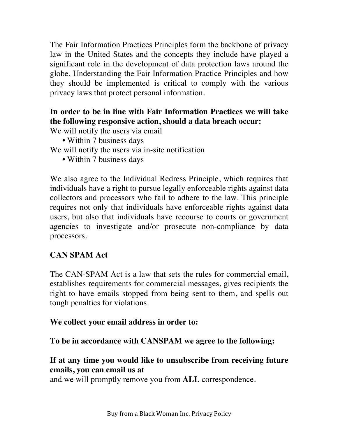The Fair Information Practices Principles form the backbone of privacy law in the United States and the concepts they include have played a significant role in the development of data protection laws around the globe. Understanding the Fair Information Practice Principles and how they should be implemented is critical to comply with the various privacy laws that protect personal information.

## **In order to be in line with Fair Information Practices we will take the following responsive action, should a data breach occur:**

We will notify the users via email

**•** Within 7 business days

We will notify the users via in-site notification

**•** Within 7 business days

We also agree to the Individual Redress Principle, which requires that individuals have a right to pursue legally enforceable rights against data collectors and processors who fail to adhere to the law. This principle requires not only that individuals have enforceable rights against data users, but also that individuals have recourse to courts or government agencies to investigate and/or prosecute non-compliance by data processors.

## **CAN SPAM Act**

The CAN-SPAM Act is a law that sets the rules for commercial email, establishes requirements for commercial messages, gives recipients the right to have emails stopped from being sent to them, and spells out tough penalties for violations.

#### **We collect your email address in order to:**

**To be in accordance with CANSPAM we agree to the following:**

## **If at any time you would like to unsubscribe from receiving future emails, you can email us at**

and we will promptly remove you from **ALL** correspondence.